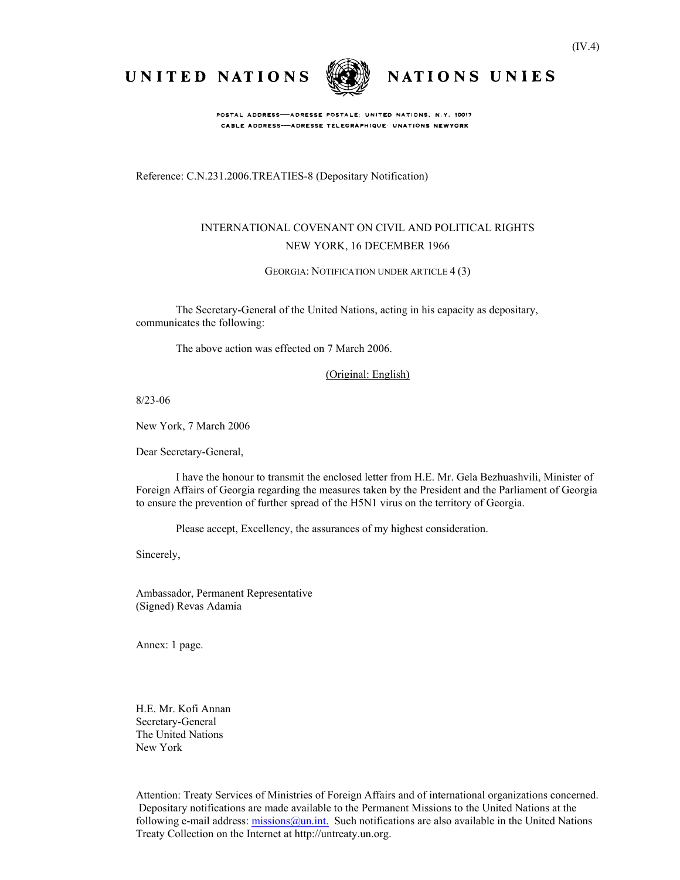NATIONS UNIES

UNITED NATIONS



POSTAL ADDRESS-ADRESSE POSTALE: UNITED NATIONS, N.Y. 10017 CABLE ADDRESS-ADRESSE TELEGRAPHIQUE UNATIONS NEWYORK

Reference: C.N.231.2006.TREATIES-8 (Depositary Notification)

## INTERNATIONAL COVENANT ON CIVIL AND POLITICAL RIGHTS NEW YORK, 16 DECEMBER 1966

GEORGIA: NOTIFICATION UNDER ARTICLE 4 (3)

The Secretary-General of the United Nations, acting in his capacity as depositary, communicates the following:

The above action was effected on 7 March 2006.

(Original: English)

8/23-06

New York, 7 March 2006

Dear Secretary-General,

I have the honour to transmit the enclosed letter from H.E. Mr. Gela Bezhuashvili, Minister of Foreign Affairs of Georgia regarding the measures taken by the President and the Parliament of Georgia to ensure the prevention of further spread of the H5N1 virus on the territory of Georgia.

Please accept, Excellency, the assurances of my highest consideration.

Sincerely,

Ambassador, Permanent Representative (Signed) Revas Adamia

Annex: 1 page.

H.E. Mr. Kofi Annan Secretary-General The United Nations New York

Attention: Treaty Services of Ministries of Foreign Affairs and of international organizations concerned. Depositary notifications are made available to the Permanent Missions to the United Nations at the following e-mail address: missions @un.int. Such notifications are also available in the United Nations Treaty Collection on the Internet at http://untreaty.un.org.